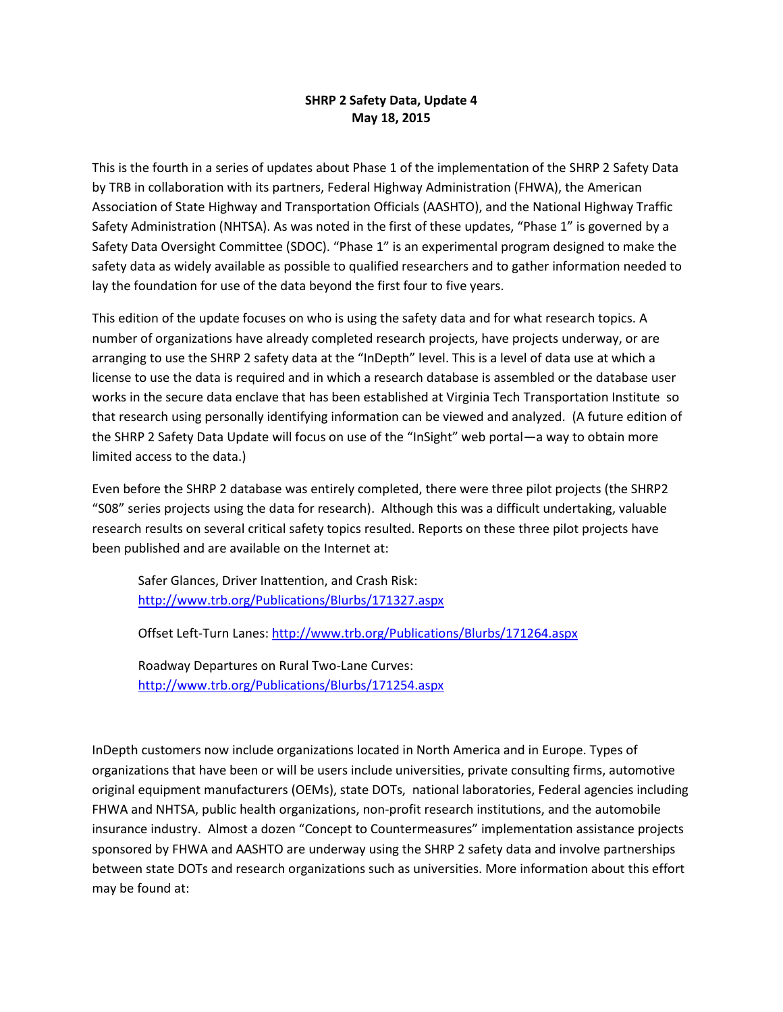## **SHRP 2 Safety Data, Update 4 May 18, 2015**

This is the fourth in a series of updates about Phase 1 of the implementation of the SHRP 2 Safety Data by TRB in collaboration with its partners, Federal Highway Administration (FHWA), the American Association of State Highway and Transportation Officials (AASHTO), and the National Highway Traffic Safety Administration (NHTSA). As was noted in the first of these updates, "Phase 1" is governed by a Safety Data Oversight Committee (SDOC). "Phase 1" is an experimental program designed to make the safety data as widely available as possible to qualified researchers and to gather information needed to lay the foundation for use of the data beyond the first four to five years.

This edition of the update focuses on who is using the safety data and for what research topics. A number of organizations have already completed research projects, have projects underway, or are arranging to use the SHRP 2 safety data at the "InDepth" level. This is a level of data use at which a license to use the data is required and in which a research database is assembled or the database user works in the secure data enclave that has been established at Virginia Tech Transportation Institute so that research using personally identifying information can be viewed and analyzed. (A future edition of the SHRP 2 Safety Data Update will focus on use of the "InSight" web portal—a way to obtain more limited access to the data.)

Even before the SHRP 2 database was entirely completed, there were three pilot projects (the SHRP2 "S08" series projects using the data for research). Although this was a difficult undertaking, valuable research results on several critical safety topics resulted. Reports on these three pilot projects have been published and are available on the Internet at:

Safer Glances, Driver Inattention, and Crash Risk: <http://www.trb.org/Publications/Blurbs/171327.aspx>

Offset Left-Turn Lanes[: http://www.trb.org/Publications/Blurbs/171264.aspx](http://www.trb.org/Publications/Blurbs/171264.aspx)

Roadway Departures on Rural Two-Lane Curves: <http://www.trb.org/Publications/Blurbs/171254.aspx>

InDepth customers now include organizations located in North America and in Europe. Types of organizations that have been or will be users include universities, private consulting firms, automotive original equipment manufacturers (OEMs), state DOTs, national laboratories, Federal agencies including FHWA and NHTSA, public health organizations, non-profit research institutions, and the automobile insurance industry. Almost a dozen "Concept to Countermeasures" implementation assistance projects sponsored by FHWA and AASHTO are underway using the SHRP 2 safety data and involve partnerships between state DOTs and research organizations such as universities. More information about this effort may be found at: